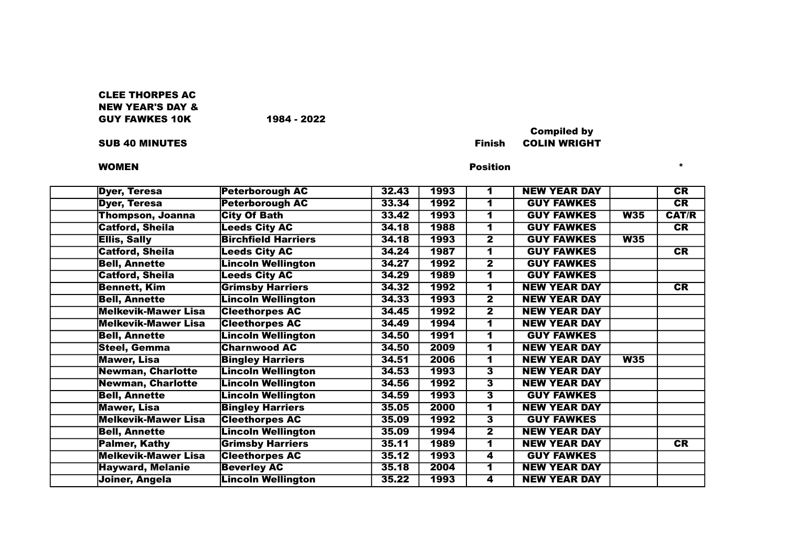# CLEE THORPES AC NEW YEAR'S DAY & GUY FAWKES 10K 1984 - 2022

### womEN  $\bullet$  \*  $\bullet$  \*  $\bullet$  \*  $\bullet$  \*  $\bullet$  \*  $\bullet$  \*  $\bullet$  \*  $\bullet$  \*  $\bullet$  \*  $\bullet$  \*  $\bullet$  \*  $\bullet$  \*  $\bullet$  \*  $\bullet$  \*  $\bullet$  \*  $\bullet$  \*  $\bullet$  \*  $\bullet$  \*  $\bullet$  \*  $\bullet$  \*  $\bullet$  \*  $\bullet$  \*  $\bullet$  \*  $\bullet$  \*  $\bullet$  \*  $\bullet$  \*  $\bullet$  \*  $\bullet$  \*  $\bullet$  \*  $\bullet$  \*  $\bullet$  \*

## Compiled by SUB 40 MINUTES Finish COLIN WRIGHT

| <b>Dyer, Teresa</b>        | <b>Peterborough AC</b>     | 32.43 | 1993 | 1                       | <b>NEW YEAR DAY</b> |     | CR           |
|----------------------------|----------------------------|-------|------|-------------------------|---------------------|-----|--------------|
| <b>Dyer, Teresa</b>        | <b>Peterborough AC</b>     | 33.34 | 1992 | 1                       | <b>GUY FAWKES</b>   |     | CR           |
| <b>Thompson, Joanna</b>    | <b>City Of Bath</b>        | 33.42 | 1993 | 1                       | <b>GUY FAWKES</b>   | W35 | <b>CAT/R</b> |
| <b>Catford, Sheila</b>     | <b>Leeds City AC</b>       | 34.18 | 1988 | 1                       | <b>GUY FAWKES</b>   |     | CR           |
| <b>Ellis, Sally</b>        | <b>Birchfield Harriers</b> | 34.18 | 1993 | 2                       | <b>GUY FAWKES</b>   | W35 |              |
| <b>Catford, Sheila</b>     | <b>Leeds City AC</b>       | 34.24 | 1987 | 1                       | <b>GUY FAWKES</b>   |     | CR           |
| <b>Bell, Annette</b>       | <b>Lincoln Wellington</b>  | 34.27 | 1992 | $\overline{\mathbf{2}}$ | <b>GUY FAWKES</b>   |     |              |
| <b>Catford, Sheila</b>     | <b>Leeds City AC</b>       | 34.29 | 1989 | 1                       | <b>GUY FAWKES</b>   |     |              |
| <b>Bennett, Kim</b>        | <b>Grimsby Harriers</b>    | 34.32 | 1992 |                         | <b>NEW YEAR DAY</b> |     | CR           |
| <b>Bell, Annette</b>       | <b>Lincoln Wellington</b>  | 34.33 | 1993 | $\overline{2}$          | <b>NEW YEAR DAY</b> |     |              |
| <b>Melkevik-Mawer Lisa</b> | <b>Cleethorpes AC</b>      | 34.45 | 1992 | $\mathbf{2}$            | <b>NEW YEAR DAY</b> |     |              |
| <b>Melkevik-Mawer Lisa</b> | <b>Cleethorpes AC</b>      | 34.49 | 1994 | 1                       | <b>NEW YEAR DAY</b> |     |              |
| <b>Bell, Annette</b>       | <b>Lincoln Wellington</b>  | 34.50 | 1991 |                         | <b>GUY FAWKES</b>   |     |              |
| <b>Steel, Gemma</b>        | <b>Charnwood AC</b>        | 34.50 | 2009 |                         | <b>NEW YEAR DAY</b> |     |              |
| <b>Mawer, Lisa</b>         | <b>Bingley Harriers</b>    | 34.51 | 2006 | 1                       | <b>NEW YEAR DAY</b> | W35 |              |
| <b>Newman, Charlotte</b>   | <b>Lincoln Wellington</b>  | 34.53 | 1993 | $\overline{\mathbf{3}}$ | <b>NEW YEAR DAY</b> |     |              |
| Newman, Charlotte          | <b>Lincoln Wellington</b>  | 34.56 | 1992 | 3                       | <b>NEW YEAR DAY</b> |     |              |
| <b>Bell, Annette</b>       | <b>Lincoln Wellington</b>  | 34.59 | 1993 | 3                       | <b>GUY FAWKES</b>   |     |              |
| <b>Mawer, Lisa</b>         | <b>Bingley Harriers</b>    | 35.05 | 2000 | 1                       | <b>NEW YEAR DAY</b> |     |              |
| <b>Melkevik-Mawer Lisa</b> | <b>Cleethorpes AC</b>      | 35.09 | 1992 | $\overline{\mathbf{3}}$ | <b>GUY FAWKES</b>   |     |              |
| <b>Bell, Annette</b>       | <b>Lincoln Wellington</b>  | 35.09 | 1994 | $\overline{\mathbf{2}}$ | <b>NEW YEAR DAY</b> |     |              |
| <b>Palmer, Kathy</b>       | <b>Grimsby Harriers</b>    | 35.11 | 1989 | 1                       | <b>NEW YEAR DAY</b> |     | CR           |
| <b>Melkevik-Mawer Lisa</b> | <b>Cleethorpes AC</b>      | 35.12 | 1993 | 4                       | <b>GUY FAWKES</b>   |     |              |
| <b>Hayward, Melanie</b>    | <b>Beverley AC</b>         | 35.18 | 2004 | 1                       | <b>NEW YEAR DAY</b> |     |              |
| Joiner, Angela             | <b>Lincoln Wellington</b>  | 35.22 | 1993 | 4                       | <b>NEW YEAR DAY</b> |     |              |
|                            |                            |       |      |                         |                     |     |              |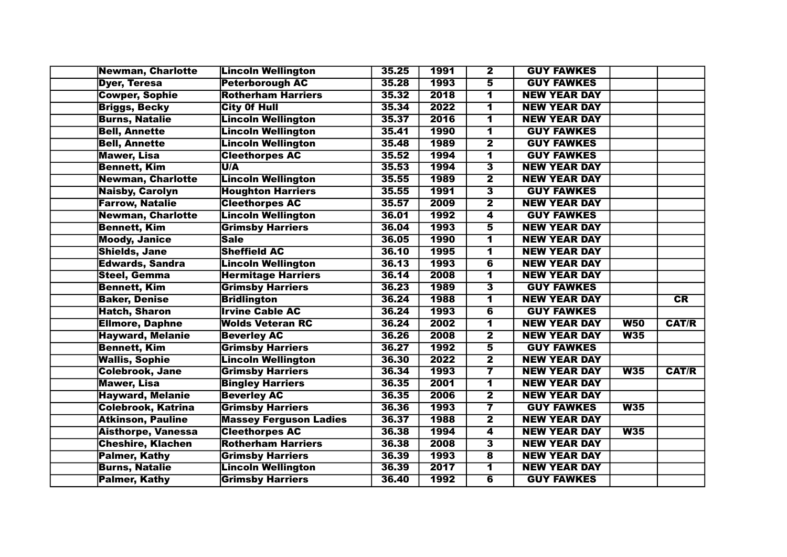| Newman, Charlotte         | <b>Lincoln Wellington</b>     | 35.25 | 1991 | $\overline{\mathbf{2}}$ | <b>GUY FAWKES</b>   |            |              |
|---------------------------|-------------------------------|-------|------|-------------------------|---------------------|------------|--------------|
| <b>Dyer, Teresa</b>       | <b>Peterborough AC</b>        | 35.28 | 1993 | $\overline{\mathbf{5}}$ | <b>GUY FAWKES</b>   |            |              |
| <b>Cowper, Sophie</b>     | <b>Rotherham Harriers</b>     | 35.32 | 2018 | 1                       | <b>NEW YEAR DAY</b> |            |              |
| <b>Briggs, Becky</b>      | <b>City Of Hull</b>           | 35.34 | 2022 | 1                       | <b>NEW YEAR DAY</b> |            |              |
| <b>Burns, Natalie</b>     | <b>Lincoln Wellington</b>     | 35.37 | 2016 | $\overline{\mathbf{1}}$ | <b>NEW YEAR DAY</b> |            |              |
| <b>Bell, Annette</b>      | <b>Lincoln Wellington</b>     | 35.41 | 1990 | 1                       | <b>GUY FAWKES</b>   |            |              |
| <b>Bell, Annette</b>      | <b>Lincoln Wellington</b>     | 35.48 | 1989 | $\overline{\mathbf{2}}$ | <b>GUY FAWKES</b>   |            |              |
| <b>Mawer, Lisa</b>        | <b>Cleethorpes AC</b>         | 35.52 | 1994 | $\overline{\mathbf{1}}$ | <b>GUY FAWKES</b>   |            |              |
| <b>Bennett, Kim</b>       | U/A                           | 35.53 | 1994 | $\overline{\mathbf{3}}$ | <b>NEW YEAR DAY</b> |            |              |
| <b>Newman, Charlotte</b>  | <b>Lincoln Wellington</b>     | 35.55 | 1989 | $\overline{\mathbf{2}}$ | <b>NEW YEAR DAY</b> |            |              |
| <b>Naisby, Carolyn</b>    | <b>Houghton Harriers</b>      | 35.55 | 1991 | $\overline{\mathbf{3}}$ | <b>GUY FAWKES</b>   |            |              |
| <b>Farrow, Natalie</b>    | <b>Cleethorpes AC</b>         | 35.57 | 2009 | $\overline{\mathbf{2}}$ | <b>NEW YEAR DAY</b> |            |              |
| <b>Newman, Charlotte</b>  | <b>Lincoln Wellington</b>     | 36.01 | 1992 | $\overline{\bf{4}}$     | <b>GUY FAWKES</b>   |            |              |
| <b>Bennett, Kim</b>       | <b>Grimsby Harriers</b>       | 36.04 | 1993 | $\overline{\mathbf{5}}$ | <b>NEW YEAR DAY</b> |            |              |
| <b>Moody, Janice</b>      | Sale                          | 36.05 | 1990 | $\overline{\mathbf{1}}$ | <b>NEW YEAR DAY</b> |            |              |
| <b>Shields, Jane</b>      | <b>Sheffield AC</b>           | 36.10 | 1995 | $\overline{\mathbf{1}}$ | <b>NEW YEAR DAY</b> |            |              |
| <b>Edwards, Sandra</b>    | <b>Lincoln Wellington</b>     | 36.13 | 1993 | $\overline{6}$          | <b>NEW YEAR DAY</b> |            |              |
| <b>Steel, Gemma</b>       | <b>Hermitage Harriers</b>     | 36.14 | 2008 | 1                       | <b>NEW YEAR DAY</b> |            |              |
| <b>Bennett, Kim</b>       | <b>Grimsby Harriers</b>       | 36.23 | 1989 | 3                       | <b>GUY FAWKES</b>   |            |              |
| <b>Baker, Denise</b>      | <b>Bridlington</b>            | 36.24 | 1988 | 1                       | <b>NEW YEAR DAY</b> |            | CR           |
| <b>Hatch, Sharon</b>      | <b>Irvine Cable AC</b>        | 36.24 | 1993 | 6                       | <b>GUY FAWKES</b>   |            |              |
| <b>Ellmore, Daphne</b>    | <b>Wolds Veteran RC</b>       | 36.24 | 2002 | $\overline{\mathbf{1}}$ | <b>NEW YEAR DAY</b> | <b>W50</b> | <b>CAT/R</b> |
| <b>Hayward, Melanie</b>   | <b>Beverley AC</b>            | 36.26 | 2008 | $\overline{\mathbf{2}}$ | <b>NEW YEAR DAY</b> | W35        |              |
| <b>Bennett, Kim</b>       | <b>Grimsby Harriers</b>       | 36.27 | 1992 | 5                       | <b>GUY FAWKES</b>   |            |              |
| <b>Wallis, Sophie</b>     | <b>Lincoln Wellington</b>     | 36.30 | 2022 | $\overline{\mathbf{2}}$ | <b>NEW YEAR DAY</b> |            |              |
| <b>Colebrook, Jane</b>    | <b>Grimsby Harriers</b>       | 36.34 | 1993 | $\overline{\mathbf{7}}$ | <b>NEW YEAR DAY</b> | W35        | <b>CAT/R</b> |
| <b>Mawer, Lisa</b>        | <b>Bingley Harriers</b>       | 36.35 | 2001 | $\overline{\mathbf{1}}$ | <b>NEW YEAR DAY</b> |            |              |
| <b>Hayward, Melanie</b>   | <b>Beverley AC</b>            | 36.35 | 2006 | $\overline{\mathbf{2}}$ | <b>NEW YEAR DAY</b> |            |              |
| <b>Colebrook, Katrina</b> | <b>Grimsby Harriers</b>       | 36.36 | 1993 | $\overline{\mathbf{7}}$ | <b>GUY FAWKES</b>   | W35        |              |
| <b>Atkinson, Pauline</b>  | <b>Massey Ferguson Ladies</b> | 36.37 | 1988 | $\overline{\mathbf{2}}$ | <b>NEW YEAR DAY</b> |            |              |
| <b>Aisthorpe, Vanessa</b> | <b>Cleethorpes AC</b>         | 36.38 | 1994 | 4                       | <b>NEW YEAR DAY</b> | W35        |              |
| <b>Cheshire, Klachen</b>  | <b>Rotherham Harriers</b>     | 36.38 | 2008 | $\overline{\mathbf{3}}$ | <b>NEW YEAR DAY</b> |            |              |
| <b>Palmer, Kathy</b>      | <b>Grimsby Harriers</b>       | 36.39 | 1993 | $\overline{\mathbf{8}}$ | <b>NEW YEAR DAY</b> |            |              |
| <b>Burns, Natalie</b>     | <b>Lincoln Wellington</b>     | 36.39 | 2017 | 1                       | <b>NEW YEAR DAY</b> |            |              |
| <b>Palmer, Kathy</b>      | <b>Grimsby Harriers</b>       | 36.40 | 1992 | $\overline{\mathbf{6}}$ | <b>GUY FAWKES</b>   |            |              |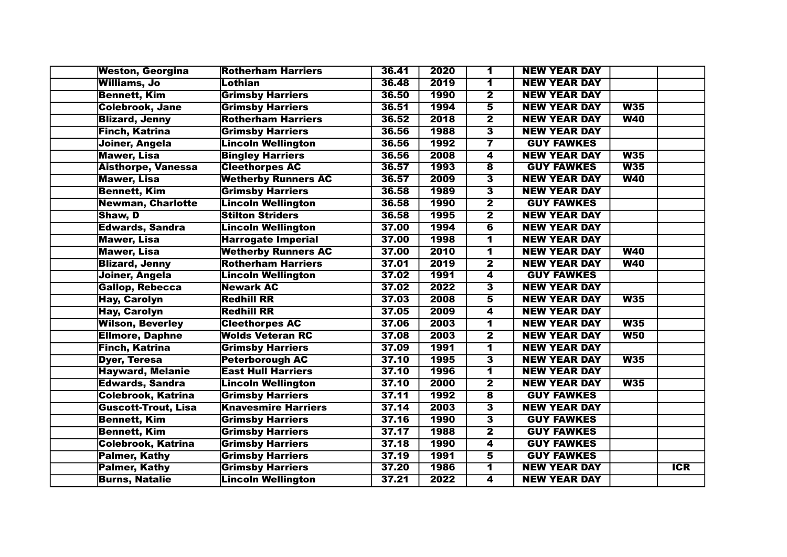| <b>Weston, Georgina</b>    | <b>Rotherham Harriers</b>  | 36.41 | 2020        | 1                       | <b>NEW YEAR DAY</b> |            |            |
|----------------------------|----------------------------|-------|-------------|-------------------------|---------------------|------------|------------|
| <b>Williams, Jo</b>        | Lothian                    | 36.48 | 2019        | $\overline{\mathbf{1}}$ | <b>NEW YEAR DAY</b> |            |            |
| <b>Bennett, Kim</b>        | <b>Grimsby Harriers</b>    | 36.50 | 1990        | $\overline{\mathbf{2}}$ | <b>NEW YEAR DAY</b> |            |            |
| <b>Colebrook, Jane</b>     | <b>Grimsby Harriers</b>    | 36.51 | 1994        | $\overline{\mathbf{5}}$ | <b>NEW YEAR DAY</b> | W35        |            |
| <b>Blizard, Jenny</b>      | <b>Rotherham Harriers</b>  | 36.52 | 2018        | $\overline{\mathbf{2}}$ | <b>NEW YEAR DAY</b> | W40        |            |
| <b>Finch, Katrina</b>      | <b>Grimsby Harriers</b>    | 36.56 | 1988        | $\overline{\mathbf{3}}$ | <b>NEW YEAR DAY</b> |            |            |
| Joiner, Angela             | <b>Lincoln Wellington</b>  | 36.56 | 1992        | $\overline{\mathbf{7}}$ | <b>GUY FAWKES</b>   |            |            |
| <b>Mawer, Lisa</b>         | <b>Bingley Harriers</b>    | 36.56 | 2008        | $\overline{\mathbf{4}}$ | <b>NEW YEAR DAY</b> | W35        |            |
| <b>Aisthorpe, Vanessa</b>  | <b>Cleethorpes AC</b>      | 36.57 | 1993        | $\overline{\mathbf{8}}$ | <b>GUY FAWKES</b>   | W35        |            |
| <b>Mawer, Lisa</b>         | <b>Wetherby Runners AC</b> | 36.57 | 2009        | $\overline{\mathbf{3}}$ | <b>NEW YEAR DAY</b> | W40        |            |
| <b>Bennett, Kim</b>        | <b>Grimsby Harriers</b>    | 36.58 | <b>1989</b> | 3                       | <b>NEW YEAR DAY</b> |            |            |
| <b>Newman, Charlotte</b>   | <b>Lincoln Wellington</b>  | 36.58 | <b>1990</b> | $\overline{\mathbf{2}}$ | <b>GUY FAWKES</b>   |            |            |
| Shaw, D                    | <b>Stilton Striders</b>    | 36.58 | 1995        | $\overline{\mathbf{2}}$ | <b>NEW YEAR DAY</b> |            |            |
| <b>Edwards, Sandra</b>     | <b>Lincoln Wellington</b>  | 37.00 | 1994        | $\overline{\mathbf{6}}$ | <b>NEW YEAR DAY</b> |            |            |
| <b>Mawer, Lisa</b>         | <b>Harrogate Imperial</b>  | 37.00 | 1998        | 1                       | <b>NEW YEAR DAY</b> |            |            |
| <b>Mawer, Lisa</b>         | <b>Wetherby Runners AC</b> | 37.00 | 2010        | $\overline{\mathbf{1}}$ | <b>NEW YEAR DAY</b> | W40        |            |
| <b>Blizard, Jenny</b>      | <b>Rotherham Harriers</b>  | 37.01 | 2019        | $\overline{2}$          | <b>NEW YEAR DAY</b> | <b>W40</b> |            |
| Joiner, Angela             | <b>Lincoln Wellington</b>  | 37.02 | 1991        | 4                       | <b>GUY FAWKES</b>   |            |            |
| <b>Gallop, Rebecca</b>     | <b>Newark AC</b>           | 37.02 | 2022        | $\overline{\mathbf{3}}$ | <b>NEW YEAR DAY</b> |            |            |
| <b>Hay, Carolyn</b>        | <b>Redhill RR</b>          | 37.03 | 2008        | $\overline{\mathbf{5}}$ | <b>NEW YEAR DAY</b> | W35        |            |
| <b>Hay, Carolyn</b>        | <b>Redhill RR</b>          | 37.05 | 2009        | 4                       | <b>NEW YEAR DAY</b> |            |            |
| <b>Wilson, Beverley</b>    | <b>Cleethorpes AC</b>      | 37.06 | 2003        | $\overline{\mathbf{1}}$ | <b>NEW YEAR DAY</b> | W35        |            |
| <b>Ellmore, Daphne</b>     | <b>Wolds Veteran RC</b>    | 37.08 | 2003        | $\overline{\mathbf{2}}$ | <b>NEW YEAR DAY</b> | W50        |            |
| <b>Finch, Katrina</b>      | <b>Grimsby Harriers</b>    | 37.09 | 1991        | $\overline{\mathbf{1}}$ | <b>NEW YEAR DAY</b> |            |            |
| <b>Dyer, Teresa</b>        | <b>Peterborough AC</b>     | 37.10 | 1995        | $\overline{\mathbf{3}}$ | <b>NEW YEAR DAY</b> | W35        |            |
| <b>Hayward, Melanie</b>    | <b>East Hull Harriers</b>  | 37.10 | 1996        | $\overline{\mathbf{1}}$ | <b>NEW YEAR DAY</b> |            |            |
| <b>Edwards, Sandra</b>     | <b>Lincoln Wellington</b>  | 37.10 | 2000        | $\overline{\mathbf{2}}$ | <b>NEW YEAR DAY</b> | W35        |            |
| <b>Colebrook, Katrina</b>  | <b>Grimsby Harriers</b>    | 37.11 | 1992        | $\overline{\mathbf{8}}$ | <b>GUY FAWKES</b>   |            |            |
| <b>Guscott-Trout, Lisa</b> | <b>Knavesmire Harriers</b> | 37.14 | 2003        | $\overline{\mathbf{3}}$ | <b>NEW YEAR DAY</b> |            |            |
| <b>Bennett, Kim</b>        | <b>Grimsby Harriers</b>    | 37.16 | 1990        | $\overline{\mathbf{3}}$ | <b>GUY FAWKES</b>   |            |            |
| <b>Bennett, Kim</b>        | <b>Grimsby Harriers</b>    | 37.17 | 1988        | $\overline{\mathbf{2}}$ | <b>GUY FAWKES</b>   |            |            |
| <b>Colebrook, Katrina</b>  | <b>Grimsby Harriers</b>    | 37.18 | <b>1990</b> | $\overline{\mathbf{4}}$ | <b>GUY FAWKES</b>   |            |            |
| <b>Palmer, Kathy</b>       | <b>Grimsby Harriers</b>    | 37.19 | 1991        | $\overline{\mathbf{5}}$ | <b>GUY FAWKES</b>   |            |            |
| <b>Palmer, Kathy</b>       | <b>Grimsby Harriers</b>    | 37.20 | 1986        | $\overline{\mathbf{1}}$ | <b>NEW YEAR DAY</b> |            | <b>ICR</b> |
| <b>Burns, Natalie</b>      | <b>Lincoln Wellington</b>  | 37.21 | 2022        | 4                       | <b>NEW YEAR DAY</b> |            |            |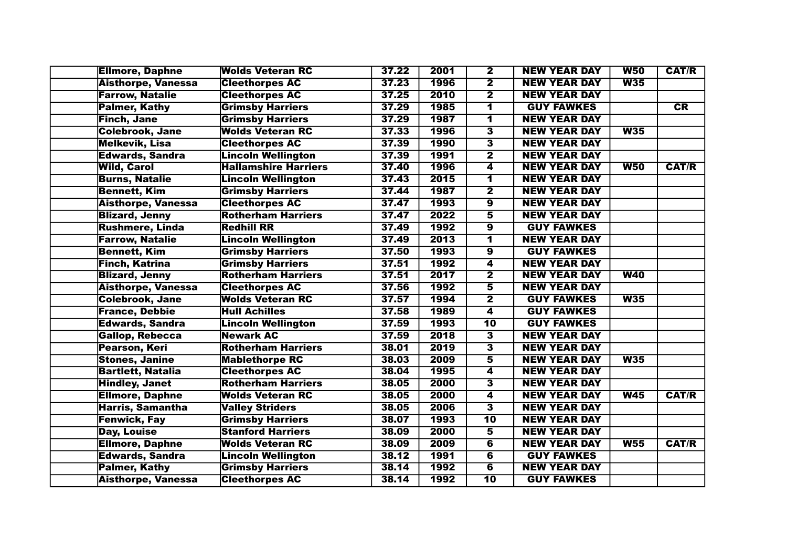| <b>Ellmore, Daphne</b>    | <b>Wolds Veteran RC</b>     | 37.22 | 2001 | $\overline{\mathbf{2}}$ | <b>NEW YEAR DAY</b> | <b>W50</b>      | <b>CAT/R</b> |
|---------------------------|-----------------------------|-------|------|-------------------------|---------------------|-----------------|--------------|
| <b>Aisthorpe, Vanessa</b> | <b>Cleethorpes AC</b>       | 37.23 | 1996 | $\overline{\mathbf{2}}$ | <b>NEW YEAR DAY</b> | W35             |              |
| <b>Farrow, Natalie</b>    | <b>Cleethorpes AC</b>       | 37.25 | 2010 | $\overline{\mathbf{2}}$ | <b>NEW YEAR DAY</b> |                 |              |
| <b>Palmer, Kathy</b>      | <b>Grimsby Harriers</b>     | 37.29 | 1985 | 1                       | <b>GUY FAWKES</b>   |                 | CR           |
| <b>Finch, Jane</b>        | <b>Grimsby Harriers</b>     | 37.29 | 1987 | $\overline{\mathbf{1}}$ | <b>NEW YEAR DAY</b> |                 |              |
| <b>Colebrook, Jane</b>    | <b>Wolds Veteran RC</b>     | 37.33 | 1996 | $\overline{\mathbf{3}}$ | <b>NEW YEAR DAY</b> | W35             |              |
| <b>Melkevik, Lisa</b>     | <b>Cleethorpes AC</b>       | 37.39 | 1990 | $\overline{\mathbf{3}}$ | <b>NEW YEAR DAY</b> |                 |              |
| <b>Edwards, Sandra</b>    | <b>Lincoln Wellington</b>   | 37.39 | 1991 | $\overline{\mathbf{2}}$ | <b>NEW YEAR DAY</b> |                 |              |
| <b>Wild, Carol</b>        | <b>Hallamshire Harriers</b> | 37.40 | 1996 | 4                       | <b>NEW YEAR DAY</b> | W50             | <b>CAT/R</b> |
| <b>Burns, Natalie</b>     | <b>Lincoln Wellington</b>   | 37.43 | 2015 | $\overline{\mathbf{1}}$ | <b>NEW YEAR DAY</b> |                 |              |
| <b>Bennett, Kim</b>       | <b>Grimsby Harriers</b>     | 37.44 | 1987 | $\overline{\mathbf{2}}$ | <b>NEW YEAR DAY</b> |                 |              |
| <b>Aisthorpe, Vanessa</b> | <b>Cleethorpes AC</b>       | 37.47 | 1993 | $\overline{\bm{9}}$     | <b>NEW YEAR DAY</b> |                 |              |
| <b>Blizard, Jenny</b>     | <b>Rotherham Harriers</b>   | 37.47 | 2022 | 5                       | <b>NEW YEAR DAY</b> |                 |              |
| <b>Rushmere, Linda</b>    | <b>Redhill RR</b>           | 37.49 | 1992 | $\overline{9}$          | <b>GUY FAWKES</b>   |                 |              |
| <b>Farrow, Natalie</b>    | <b>Lincoln Wellington</b>   | 37.49 | 2013 | 1                       | <b>NEW YEAR DAY</b> |                 |              |
| <b>Bennett, Kim</b>       | <b>Grimsby Harriers</b>     | 37.50 | 1993 | $\overline{\mathbf{9}}$ | <b>GUY FAWKES</b>   |                 |              |
| <b>Finch, Katrina</b>     | <b>Grimsby Harriers</b>     | 37.51 | 1992 | 4                       | <b>NEW YEAR DAY</b> |                 |              |
| <b>Blizard, Jenny</b>     | <b>Rotherham Harriers</b>   | 37.51 | 2017 | $\overline{\mathbf{2}}$ | <b>NEW YEAR DAY</b> | W40             |              |
| <b>Aisthorpe, Vanessa</b> | <b>Cleethorpes AC</b>       | 37.56 | 1992 | 5                       | <b>NEW YEAR DAY</b> |                 |              |
| <b>Colebrook, Jane</b>    | <b>Wolds Veteran RC</b>     | 37.57 | 1994 | $\overline{\mathbf{2}}$ | <b>GUY FAWKES</b>   | W35             |              |
| <b>France, Debbie</b>     | <b>Hull Achilles</b>        | 37.58 | 1989 | 4                       | <b>GUY FAWKES</b>   |                 |              |
| <b>Edwards, Sandra</b>    | <b>Lincoln Wellington</b>   | 37.59 | 1993 | $\overline{10}$         | <b>GUY FAWKES</b>   |                 |              |
| <b>Gallop, Rebecca</b>    | <b>Newark AC</b>            | 37.59 | 2018 | 3                       | <b>NEW YEAR DAY</b> |                 |              |
| <b>Pearson, Keri</b>      | <b>Rotherham Harriers</b>   | 38.01 | 2019 | $\overline{\mathbf{3}}$ | <b>NEW YEAR DAY</b> |                 |              |
| <b>Stones, Janine</b>     | <b>Mablethorpe RC</b>       | 38.03 | 2009 | $\overline{\mathbf{5}}$ | <b>NEW YEAR DAY</b> | W35             |              |
| <b>Bartlett, Natalia</b>  | <b>Cleethorpes AC</b>       | 38.04 | 1995 | 4                       | <b>NEW YEAR DAY</b> |                 |              |
| <b>Hindley, Janet</b>     | <b>Rotherham Harriers</b>   | 38.05 | 2000 | 3                       | <b>NEW YEAR DAY</b> |                 |              |
| <b>Ellmore, Daphne</b>    | <b>Wolds Veteran RC</b>     | 38.05 | 2000 | $\overline{\mathbf{4}}$ | <b>NEW YEAR DAY</b> | W45             | <b>CAT/R</b> |
| <b>Harris, Samantha</b>   | <b>Valley Striders</b>      | 38.05 | 2006 | $\overline{\mathbf{3}}$ | <b>NEW YEAR DAY</b> |                 |              |
| <b>Fenwick, Fay</b>       | <b>Grimsby Harriers</b>     | 38.07 | 1993 | $\overline{10}$         | <b>NEW YEAR DAY</b> |                 |              |
| <b>Day, Louise</b>        | <b>Stanford Harriers</b>    | 38.09 | 2000 | 5                       | <b>NEW YEAR DAY</b> |                 |              |
| <b>Ellmore, Daphne</b>    | <b>Wolds Veteran RC</b>     | 38.09 | 2009 | $\overline{\mathbf{6}}$ | <b>NEW YEAR DAY</b> | W <sub>55</sub> | <b>CAT/R</b> |
| <b>Edwards, Sandra</b>    | <b>Lincoln Wellington</b>   | 38.12 | 1991 | $\overline{\mathbf{6}}$ | <b>GUY FAWKES</b>   |                 |              |
| <b>Palmer, Kathy</b>      | <b>Grimsby Harriers</b>     | 38.14 | 1992 | $\overline{\mathbf{6}}$ | <b>NEW YEAR DAY</b> |                 |              |
| <b>Aisthorpe, Vanessa</b> | <b>Cleethorpes AC</b>       | 38.14 | 1992 | $\overline{10}$         | <b>GUY FAWKES</b>   |                 |              |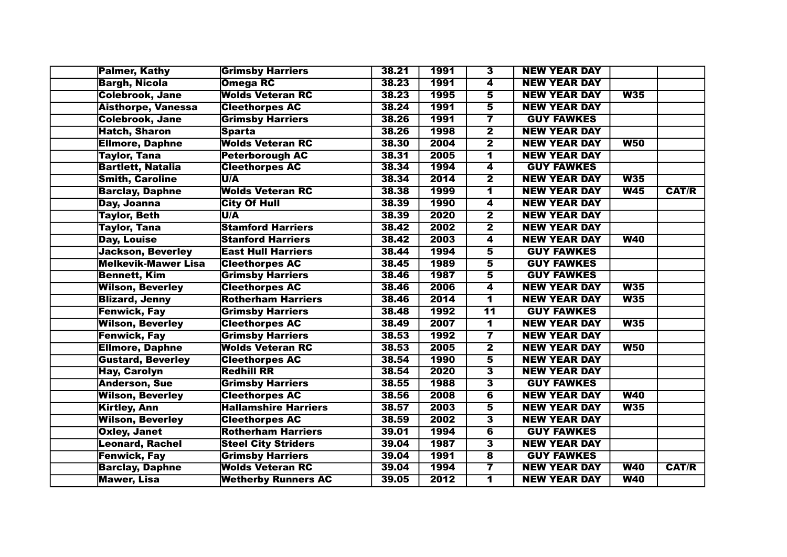| <b>Palmer, Kathy</b>      | <b>Grimsby Harriers</b>     | 38.21 | 1991        | $\overline{\mathbf{3}}$ | <b>NEW YEAR DAY</b> |            |              |
|---------------------------|-----------------------------|-------|-------------|-------------------------|---------------------|------------|--------------|
| <b>Bargh, Nicola</b>      | <b>Omega RC</b>             | 38.23 | 1991        | 4                       | <b>NEW YEAR DAY</b> |            |              |
| <b>Colebrook, Jane</b>    | <b>Wolds Veteran RC</b>     | 38.23 | 1995        | $\overline{\mathbf{5}}$ | <b>NEW YEAR DAY</b> | W35        |              |
| <b>Aisthorpe, Vanessa</b> | <b>Cleethorpes AC</b>       | 38.24 | 1991        | $\overline{\bf{5}}$     | <b>NEW YEAR DAY</b> |            |              |
| <b>Colebrook, Jane</b>    | <b>Grimsby Harriers</b>     | 38.26 | 1991        | $\overline{\mathbf{7}}$ | <b>GUY FAWKES</b>   |            |              |
| <b>Hatch, Sharon</b>      | <b>Sparta</b>               | 38.26 | 1998        | $\overline{2}$          | <b>NEW YEAR DAY</b> |            |              |
| <b>Ellmore, Daphne</b>    | <b>Wolds Veteran RC</b>     | 38.30 | 2004        | $\overline{\mathbf{2}}$ | <b>NEW YEAR DAY</b> | <b>W50</b> |              |
| Taylor, Tana              | <b>Peterborough AC</b>      | 38.31 | 2005        | $\overline{\mathbf{1}}$ | <b>NEW YEAR DAY</b> |            |              |
| <b>Bartlett, Natalia</b>  | <b>Cleethorpes AC</b>       | 38.34 | 1994        | $\overline{\mathbf{4}}$ | <b>GUY FAWKES</b>   |            |              |
| <b>Smith, Caroline</b>    | U/A                         | 38.34 | 2014        | $\overline{2}$          | <b>NEW YEAR DAY</b> | W35        |              |
| <b>Barclay, Daphne</b>    | <b>Wolds Veteran RC</b>     | 38.38 | <b>1999</b> | 1                       | <b>NEW YEAR DAY</b> | W45        | <b>CAT/R</b> |
| Day, Joanna               | <b>City Of Hull</b>         | 38.39 | <b>1990</b> | $\overline{\mathbf{4}}$ | <b>NEW YEAR DAY</b> |            |              |
| <b>Taylor, Beth</b>       | U/A                         | 38.39 | 2020        | $\overline{2}$          | <b>NEW YEAR DAY</b> |            |              |
| <b>Taylor, Tana</b>       | <b>Stamford Harriers</b>    | 38.42 | 2002        | $\overline{\mathbf{2}}$ | <b>NEW YEAR DAY</b> |            |              |
| <b>Day, Louise</b>        | <b>Stanford Harriers</b>    | 38.42 | 2003        | 4                       | <b>NEW YEAR DAY</b> | W40        |              |
| <b>Jackson, Beverley</b>  | <b>East Hull Harriers</b>   | 38.44 | 1994        | 5                       | <b>GUY FAWKES</b>   |            |              |
| Melkevik-Mawer Lisa       | <b>Cleethorpes AC</b>       | 38.45 | 1989        | $\overline{\mathbf{5}}$ | <b>GUY FAWKES</b>   |            |              |
| <b>Bennett, Kim</b>       | <b>Grimsby Harriers</b>     | 38.46 | 1987        | $\overline{\mathbf{5}}$ | <b>GUY FAWKES</b>   |            |              |
| <b>Wilson, Beverley</b>   | <b>Cleethorpes AC</b>       | 38.46 | 2006        | 4                       | <b>NEW YEAR DAY</b> | W35        |              |
| <b>Blizard, Jenny</b>     | <b>Rotherham Harriers</b>   | 38.46 | 2014        | $\overline{\mathbf{1}}$ | <b>NEW YEAR DAY</b> | W35        |              |
| <b>Fenwick, Fay</b>       | <b>Grimsby Harriers</b>     | 38.48 | 1992        | $\overline{11}$         | <b>GUY FAWKES</b>   |            |              |
| <b>Wilson, Beverley</b>   | <b>Cleethorpes AC</b>       | 38.49 | 2007        | $\overline{\mathbf{1}}$ | <b>NEW YEAR DAY</b> | W35        |              |
| <b>Fenwick, Fay</b>       | <b>Grimsby Harriers</b>     | 38.53 | 1992        | $\overline{\mathbf{7}}$ | <b>NEW YEAR DAY</b> |            |              |
| <b>Ellmore, Daphne</b>    | <b>Wolds Veteran RC</b>     | 38.53 | 2005        | $\overline{\mathbf{2}}$ | <b>NEW YEAR DAY</b> | W50        |              |
| <b>Gustard, Beverley</b>  | <b>Cleethorpes AC</b>       | 38.54 | 1990        | $\overline{\mathbf{5}}$ | <b>NEW YEAR DAY</b> |            |              |
| <b>Hay, Carolyn</b>       | <b>Redhill RR</b>           | 38.54 | 2020        | $\overline{\mathbf{3}}$ | <b>NEW YEAR DAY</b> |            |              |
| <b>Anderson, Sue</b>      | <b>Grimsby Harriers</b>     | 38.55 | 1988        | $\overline{\mathbf{3}}$ | <b>GUY FAWKES</b>   |            |              |
| <b>Wilson, Beverley</b>   | <b>Cleethorpes AC</b>       | 38.56 | 2008        | $\overline{\mathbf{6}}$ | <b>NEW YEAR DAY</b> | W40        |              |
| <b>Kirtley, Ann</b>       | <b>Hallamshire Harriers</b> | 38.57 | 2003        | $\overline{\mathbf{5}}$ | <b>NEW YEAR DAY</b> | W35        |              |
| <b>Wilson, Beverley</b>   | <b>Cleethorpes AC</b>       | 38.59 | 2002        | $\overline{\mathbf{3}}$ | <b>NEW YEAR DAY</b> |            |              |
| <b>Oxley, Janet</b>       | <b>Rotherham Harriers</b>   | 39.01 | 1994        | $\overline{\mathbf{6}}$ | <b>GUY FAWKES</b>   |            |              |
| <b>Leonard, Rachel</b>    | <b>Steel City Striders</b>  | 39.04 | 1987        | $\overline{\mathbf{3}}$ | <b>NEW YEAR DAY</b> |            |              |
| <b>Fenwick, Fay</b>       | <b>Grimsby Harriers</b>     | 39.04 | 1991        | $\overline{\mathbf{8}}$ | <b>GUY FAWKES</b>   |            |              |
| <b>Barclay, Daphne</b>    | <b>Wolds Veteran RC</b>     | 39.04 | 1994        | $\overline{\mathbf{7}}$ | <b>NEW YEAR DAY</b> | W40        | <b>CAT/R</b> |
| <b>Mawer, Lisa</b>        | <b>Wetherby Runners AC</b>  | 39.05 | 2012        | $\overline{\mathbf{1}}$ | <b>NEW YEAR DAY</b> | W40        |              |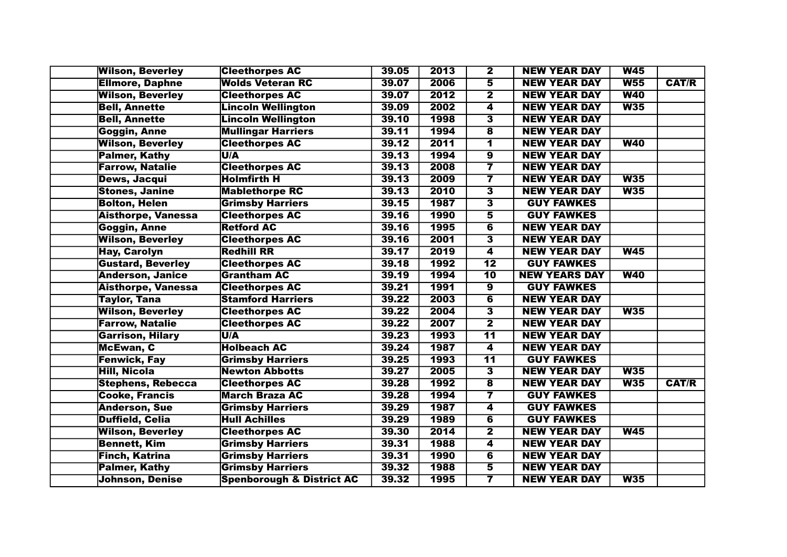| <b>Wilson, Beverley</b>   | <b>Cleethorpes AC</b>                | 39.05 | 2013        | $\overline{\mathbf{2}}$ | <b>NEW YEAR DAY</b>  | <b>W45</b>      |              |
|---------------------------|--------------------------------------|-------|-------------|-------------------------|----------------------|-----------------|--------------|
| <b>Ellmore, Daphne</b>    | <b>Wolds Veteran RC</b>              | 39.07 | 2006        | $\overline{\mathbf{5}}$ | <b>NEW YEAR DAY</b>  | W <sub>55</sub> | <b>CAT/R</b> |
| <b>Wilson, Beverley</b>   | <b>Cleethorpes AC</b>                | 39.07 | 2012        | $\overline{\mathbf{2}}$ | <b>NEW YEAR DAY</b>  | <b>W40</b>      |              |
| <b>Bell, Annette</b>      | <b>Lincoln Wellington</b>            | 39.09 | 2002        | 4                       | <b>NEW YEAR DAY</b>  | W35             |              |
| <b>Bell, Annette</b>      | Lincoln Wellington                   | 39.10 | 1998        | $\overline{\mathbf{3}}$ | <b>NEW YEAR DAY</b>  |                 |              |
| Goggin, Anne              | <b>Mullingar Harriers</b>            | 39.11 | 1994        | $\overline{\mathbf{8}}$ | <b>NEW YEAR DAY</b>  |                 |              |
| <b>Wilson, Beverley</b>   | <b>Cleethorpes AC</b>                | 39.12 | 2011        | $\overline{\mathbf{1}}$ | <b>NEW YEAR DAY</b>  | <b>W40</b>      |              |
| <b>Palmer, Kathy</b>      | U/A                                  | 39.13 | 1994        | $\overline{\mathbf{9}}$ | <b>NEW YEAR DAY</b>  |                 |              |
| <b>Farrow, Natalie</b>    | <b>Cleethorpes AC</b>                | 39.13 | 2008        | $\overline{\mathbf{7}}$ | <b>NEW YEAR DAY</b>  |                 |              |
| <b>Dews, Jacqui</b>       | <b>Holmfirth H</b>                   | 39.13 | 2009        | 7                       | <b>NEW YEAR DAY</b>  | W35             |              |
| <b>Stones, Janine</b>     | <b>Mablethorpe RC</b>                | 39.13 | 2010        | 3                       | <b>NEW YEAR DAY</b>  | W35             |              |
| <b>Bolton, Helen</b>      | <b>Grimsby Harriers</b>              | 39.15 | 1987        | $\overline{\mathbf{3}}$ | <b>GUY FAWKES</b>    |                 |              |
| <b>Aisthorpe, Vanessa</b> | <b>Cleethorpes AC</b>                | 39.16 | 1990        | 5                       | <b>GUY FAWKES</b>    |                 |              |
| <b>Goggin, Anne</b>       | <b>Retford AC</b>                    | 39.16 | 1995        | 6                       | <b>NEW YEAR DAY</b>  |                 |              |
| <b>Wilson, Beverley</b>   | <b>Cleethorpes AC</b>                | 39.16 | 2001        | 3                       | <b>NEW YEAR DAY</b>  |                 |              |
| <b>Hay, Carolyn</b>       | <b>Redhill RR</b>                    | 39.17 | 2019        | $\overline{\mathbf{4}}$ | <b>NEW YEAR DAY</b>  | W45             |              |
| <b>Gustard, Beverley</b>  | <b>Cleethorpes AC</b>                | 39.18 | 1992        | $\overline{12}$         | <b>GUY FAWKES</b>    |                 |              |
| <b>Anderson, Janice</b>   | <b>Grantham AC</b>                   | 39.19 | 1994        | $\overline{10}$         | <b>NEW YEARS DAY</b> | <b>W40</b>      |              |
| <b>Aisthorpe, Vanessa</b> | <b>Cleethorpes AC</b>                | 39.21 | 1991        | $\overline{\mathbf{9}}$ | <b>GUY FAWKES</b>    |                 |              |
| <b>Taylor, Tana</b>       | <b>Stamford Harriers</b>             | 39.22 | 2003        | $\overline{\mathbf{6}}$ | <b>NEW YEAR DAY</b>  |                 |              |
| <b>Wilson, Beverley</b>   | <b>Cleethorpes AC</b>                | 39.22 | 2004        | $\overline{\mathbf{3}}$ | <b>NEW YEAR DAY</b>  | W35             |              |
| <b>Farrow, Natalie</b>    | <b>Cleethorpes AC</b>                | 39.22 | 2007        | $\overline{\mathbf{2}}$ | <b>NEW YEAR DAY</b>  |                 |              |
| <b>Garrison, Hilary</b>   | U/A                                  | 39.23 | 1993        | $\overline{11}$         | <b>NEW YEAR DAY</b>  |                 |              |
| McEwan, C                 | <b>Holbeach AC</b>                   | 39.24 | 1987        | 4                       | <b>NEW YEAR DAY</b>  |                 |              |
| <b>Fenwick, Fay</b>       | <b>Grimsby Harriers</b>              | 39.25 | 1993        | $\overline{11}$         | <b>GUY FAWKES</b>    |                 |              |
| <b>Hill, Nicola</b>       | <b>Newton Abbotts</b>                | 39.27 | 2005        | $\overline{\mathbf{3}}$ | <b>NEW YEAR DAY</b>  | W35             |              |
| <b>Stephens, Rebecca</b>  | <b>Cleethorpes AC</b>                | 39.28 | 1992        | $\overline{\mathbf{8}}$ | <b>NEW YEAR DAY</b>  | W35             | <b>CAT/R</b> |
| <b>Cooke, Francis</b>     | <b>March Braza AC</b>                | 39.28 | 1994        | $\overline{\mathbf{7}}$ | <b>GUY FAWKES</b>    |                 |              |
| <b>Anderson, Sue</b>      | <b>Grimsby Harriers</b>              | 39.29 | 1987        | 4                       | <b>GUY FAWKES</b>    |                 |              |
| <b>Duffield, Celia</b>    | <b>Hull Achilles</b>                 | 39.29 | 1989        | $\overline{\mathbf{6}}$ | <b>GUY FAWKES</b>    |                 |              |
| <b>Wilson, Beverley</b>   | <b>Cleethorpes AC</b>                | 39.30 | 2014        | $\overline{\mathbf{2}}$ | <b>NEW YEAR DAY</b>  | W45             |              |
| <b>Bennett, Kim</b>       | <b>Grimsby Harriers</b>              | 39.31 | 1988        | 4                       | <b>NEW YEAR DAY</b>  |                 |              |
| <b>Finch, Katrina</b>     | <b>Grimsby Harriers</b>              | 39.31 | <b>1990</b> | $\overline{\mathbf{6}}$ | <b>NEW YEAR DAY</b>  |                 |              |
| <b>Palmer, Kathy</b>      | <b>Grimsby Harriers</b>              | 39.32 | 1988        | 5                       | <b>NEW YEAR DAY</b>  |                 |              |
| <b>Johnson, Denise</b>    | <b>Spenborough &amp; District AC</b> | 39.32 | 1995        | $\overline{\mathbf{7}}$ | <b>NEW YEAR DAY</b>  | W35             |              |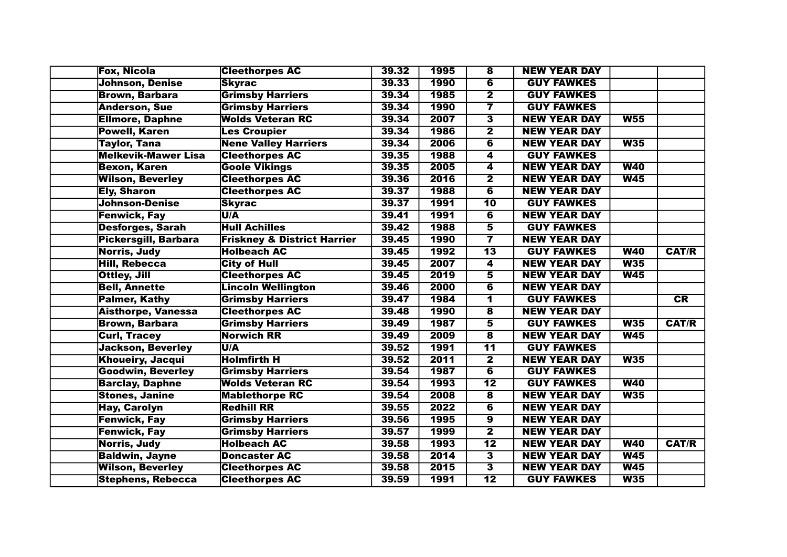| <b>Fox, Nicola</b>          | <b>Cleethorpes AC</b>                  | 39.32 | 1995        | $\overline{\mathbf{8}}$  | <b>NEW YEAR DAY</b> |            |              |
|-----------------------------|----------------------------------------|-------|-------------|--------------------------|---------------------|------------|--------------|
| <b>Johnson, Denise</b>      | <b>Skyrac</b>                          | 39.33 | 1990        | $\overline{\mathbf{6}}$  | <b>GUY FAWKES</b>   |            |              |
| <b>Brown, Barbara</b>       | <b>Grimsby Harriers</b>                | 39.34 | 1985        | $\overline{\mathbf{2}}$  | <b>GUY FAWKES</b>   |            |              |
| <b>Anderson, Sue</b>        | <b>Grimsby Harriers</b>                | 39.34 | 1990        | $\overline{\mathbf{7}}$  | <b>GUY FAWKES</b>   |            |              |
| <b>Ellmore, Daphne</b>      | <b>Wolds Veteran RC</b>                | 39.34 | 2007        | $\overline{\mathbf{3}}$  | <b>NEW YEAR DAY</b> | W55        |              |
| <b>Powell, Karen</b>        | <b>Les Croupier</b>                    | 39.34 | 1986        | $\overline{\mathbf{2}}$  | <b>NEW YEAR DAY</b> |            |              |
| <b>Taylor, Tana</b>         | <b>Nene Valley Harriers</b>            | 39.34 | 2006        | $\overline{\mathbf{6}}$  | <b>NEW YEAR DAY</b> | W35        |              |
| <b>Melkevik-Mawer Lisa</b>  | <b>Cleethorpes AC</b>                  | 39.35 | <b>1988</b> | $\overline{\mathbf{4}}$  | <b>GUY FAWKES</b>   |            |              |
| <b>Bexon, Karen</b>         | <b>Goole Vikings</b>                   | 39.35 | 2005        | $\overline{\mathbf{4}}$  | <b>NEW YEAR DAY</b> | W40        |              |
| <b>Wilson, Beverley</b>     | <b>Cleethorpes AC</b>                  | 39.36 | 2016        | $\overline{\mathbf{2}}$  | <b>NEW YEAR DAY</b> | W45        |              |
| <b>Ely, Sharon</b>          | <b>Cleethorpes AC</b>                  | 39.37 | 1988        | $\overline{\mathbf{6}}$  | <b>NEW YEAR DAY</b> |            |              |
| Johnson-Denise              | <b>Skyrac</b>                          | 39.37 | 1991        | $\overline{10}$          | <b>GUY FAWKES</b>   |            |              |
| <b>Fenwick, Fay</b>         | U/A                                    | 39.41 | 1991        | $\overline{\mathbf{6}}$  | <b>NEW YEAR DAY</b> |            |              |
| <b>Desforges, Sarah</b>     | <b>Hull Achilles</b>                   | 39.42 | 1988        | 5                        | <b>GUY FAWKES</b>   |            |              |
| <b>Pickersgill, Barbara</b> | <b>Friskney &amp; District Harrier</b> | 39.45 | <b>1990</b> | $\overline{\mathbf{7}}$  | <b>NEW YEAR DAY</b> |            |              |
| Norris, Judy                | <b>Holbeach AC</b>                     | 39.45 | 1992        | $\overline{13}$          | <b>GUY FAWKES</b>   | <b>W40</b> | <b>CAT/R</b> |
| <b>Hill, Rebecca</b>        | <b>City of Hull</b>                    | 39.45 | 2007        | $\overline{\mathbf{4}}$  | <b>NEW YEAR DAY</b> | W35        |              |
| Ottley, Jill                | <b>Cleethorpes AC</b>                  | 39.45 | 2019        | $\overline{\mathbf{5}}$  | <b>NEW YEAR DAY</b> | W45        |              |
| <b>Bell, Annette</b>        | <b>Lincoln Wellington</b>              | 39.46 | 2000        | $\overline{\mathbf{6}}$  | <b>NEW YEAR DAY</b> |            |              |
| <b>Palmer, Kathy</b>        | <b>Grimsby Harriers</b>                | 39.47 | 1984        | $\overline{\mathbf{1}}$  | <b>GUY FAWKES</b>   |            | CR           |
| <b>Aisthorpe, Vanessa</b>   | <b>Cleethorpes AC</b>                  | 39.48 | 1990        | $\overline{\mathbf{8}}$  | <b>NEW YEAR DAY</b> |            |              |
| <b>Brown, Barbara</b>       | <b>Grimsby Harriers</b>                | 39.49 | 1987        | 5                        | <b>GUY FAWKES</b>   | W35        | <b>CAT/R</b> |
| <b>Curl, Tracey</b>         | Norwich RR                             | 39.49 | 2009        | $\overline{\mathbf{8}}$  | <b>NEW YEAR DAY</b> | W45        |              |
| <b>Jackson, Beverley</b>    | U/A                                    | 39.52 | 1991        | $\overline{11}$          | <b>GUY FAWKES</b>   |            |              |
| <b>Khoueiry, Jacqui</b>     | <b>Holmfirth H</b>                     | 39.52 | 2011        | $\overline{2}$           | <b>NEW YEAR DAY</b> | W35        |              |
| <b>Goodwin, Beverley</b>    | <b>Grimsby Harriers</b>                | 39.54 | 1987        | $\overline{\mathbf{6}}$  | <b>GUY FAWKES</b>   |            |              |
| <b>Barclay, Daphne</b>      | <b>Wolds Veteran RC</b>                | 39.54 | 1993        | $\overline{12}$          | <b>GUY FAWKES</b>   | W40        |              |
| <b>Stones, Janine</b>       | <b>Mablethorpe RC</b>                  | 39.54 | 2008        | $\overline{\mathbf{8}}$  | <b>NEW YEAR DAY</b> | W35        |              |
| <b>Hay, Carolyn</b>         | <b>Redhill RR</b>                      | 39.55 | 2022        | $\overline{\mathbf{6}}$  | <b>NEW YEAR DAY</b> |            |              |
| <b>Fenwick, Fay</b>         | <b>Grimsby Harriers</b>                | 39.56 | 1995        | $\overline{\bm{9}}$      | <b>NEW YEAR DAY</b> |            |              |
| <b>Fenwick, Fay</b>         | <b>Grimsby Harriers</b>                | 39.57 | 1999        | $\overline{\mathbf{2}}$  | <b>NEW YEAR DAY</b> |            |              |
| Norris, Judy                | <b>Holbeach AC</b>                     | 39.58 | 1993        | $\overline{\mathbf{12}}$ | <b>NEW YEAR DAY</b> | <b>W40</b> | <b>CAT/R</b> |
| <b>Baldwin, Jayne</b>       | <b>Doncaster AC</b>                    | 39.58 | 2014        | $\overline{\mathbf{3}}$  | <b>NEW YEAR DAY</b> | W45        |              |
| <b>Wilson, Beverley</b>     | <b>Cleethorpes AC</b>                  | 39.58 | 2015        | $\overline{\mathbf{3}}$  | <b>NEW YEAR DAY</b> | W45        |              |
| <b>Stephens, Rebecca</b>    | <b>Cleethorpes AC</b>                  | 39.59 | 1991        | $\overline{12}$          | <b>GUY FAWKES</b>   | W35        |              |
|                             |                                        |       |             |                          |                     |            |              |